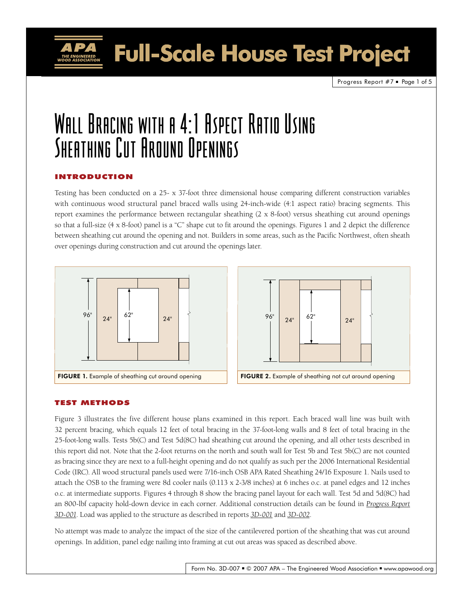Full-Scale House Test Project

Progress Report  $#7$   $\blacksquare$  Page 1 of 5

# Wall Bracing with a 4:1 Aspect Ratio Using Sheathing Cut Around Openings

## Introduction

Testing has been conducted on a 25- x 37-foot three dimensional house comparing different construction variables with continuous wood structural panel braced walls using 24-inch-wide (4:1 aspect ratio) bracing segments. This report examines the performance between rectangular sheathing (2 x 8-foot) versus sheathing cut around openings so that a full-size (4 x 8-foot) panel is a "C" shape cut to fit around the openings. Figures 1 and 2 depict the difference between sheathing cut around the opening and not. Builders in some areas, such as the Pacific Northwest, often sheath over openings during construction and cut around the openings later.





# Test Methods

Figure 3 illustrates the five different house plans examined in this report. Each braced wall line was built with 32 percent bracing, which equals 12 feet of total bracing in the 37-foot-long walls and 8 feet of total bracing in the 25-foot-long walls. Tests 5b(C) and Test 5d(8C) had sheathing cut around the opening, and all other tests described in this report did not. Note that the 2-foot returns on the north and south wall for Test 5b and Test 5b(C) are not counted as bracing since they are next to a full-height opening and do not qualify as such per the 2006 International Residential Code (IRC). All wood structural panels used were 7/16-inch OSB APA Rated Sheathing 24/16 Exposure 1. Nails used to attach the OSB to the framing were 8d cooler nails (0.113 x 2-3/8 inches) at 6 inches o.c. at panel edges and 12 inches o.c. at intermediate supports. Figures 4 through 8 show the bracing panel layout for each wall. Test 5d and 5d(8C) had an 800-lbf capacity hold-down device in each corner. Additional construction details can be found in *[Progress Report](http://www.apawood.org/level_c.cfm?content=pub_searchresults&pK=3d-001&pT=Yes&pD=Yes&pF=Yes&CFID=4470823&CFTOKEN=65935870)  [3D-001](http://www.apawood.org/level_c.cfm?content=pub_searchresults&pK=3d-001&pT=Yes&pD=Yes&pF=Yes&CFID=4470823&CFTOKEN=65935870)*. Load was applied to the structure as described in reports *[3D-001](http://www.apawood.org/level_c.cfm?content=pub_searchresults&pK=3d-001&pT=Yes&pD=Yes&pF=Yes&CFID=4470823&CFTOKEN=65935870)* and *[3D-002](http://www.apawood.org/level_c.cfm?content=pub_searchresults&pK=3d-002&pT=Yes&pD=Yes&pF=Yes&CFID=4470823&CFTOKEN=65935870)*.

No attempt was made to analyze the impact of the size of the cantilevered portion of the sheathing that was cut around openings. In addition, panel edge nailing into framing at cut out areas was spaced as described above.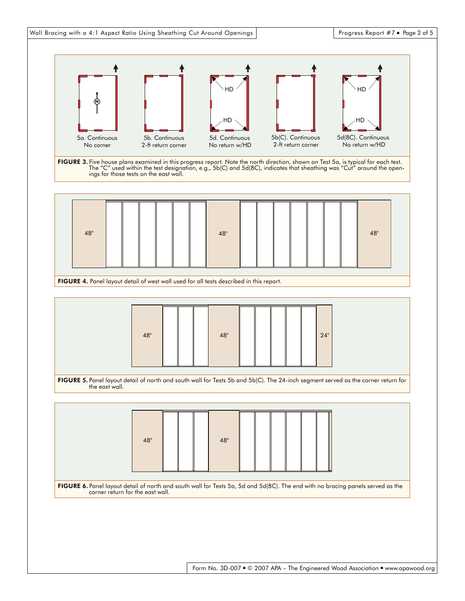

Form No. 3D-007 ■ © 2007 APA – The Engineered Wood Association ■ www.apawood.org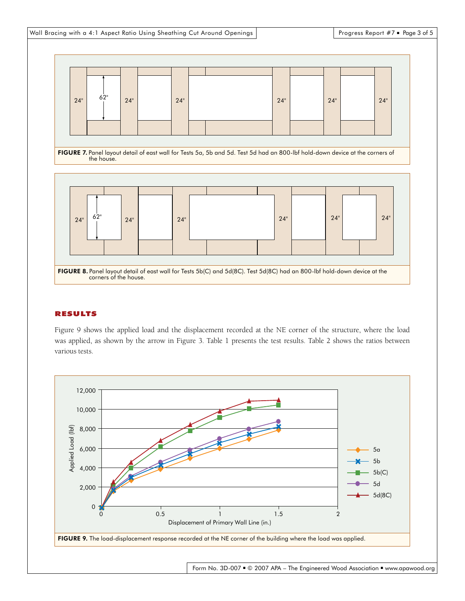

## Results

Figure 9 shows the applied load and the displacement recorded at the NE corner of the structure, where the load was applied, as shown by the arrow in Figure 3. Table 1 presents the test results. Table 2 shows the ratios between various tests.



Form No. 3D-007 ■ © 2007 APA – The Engineered Wood Association ■ www.apawood.org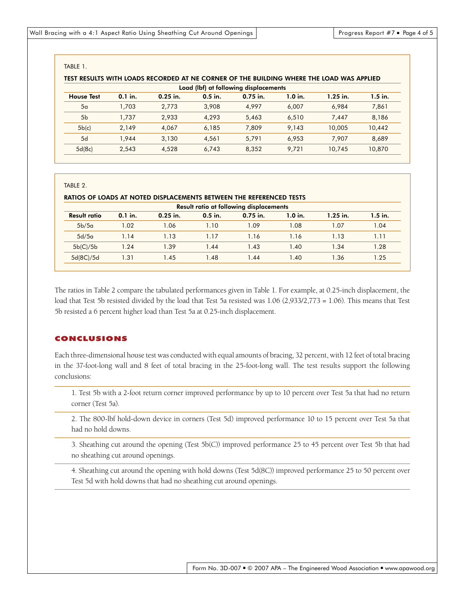#### Table 1.

| TEST RESULTS WITH LOADS RECORDED AT NE CORNER OF THE BUILDING WHERE THE LOAD WAS APPLIED |            |           |            |           |            |           |  |  |  |  |  |
|------------------------------------------------------------------------------------------|------------|-----------|------------|-----------|------------|-----------|--|--|--|--|--|
| Load (lbf) at following displacements                                                    |            |           |            |           |            |           |  |  |  |  |  |
| $0.1$ in.                                                                                | $0.25$ in. | $0.5$ in. | $0.75$ in. | $1.0$ in. | $1.25$ in. | $1.5$ in. |  |  |  |  |  |
| 1,703                                                                                    | 2,773      | 3.908     | 4,997      | 6,007     | 6.984      | 7,861     |  |  |  |  |  |
| 1.737                                                                                    | 2,933      | 4.293     | 5,463      | 6.510     | 7.447      | 8,186     |  |  |  |  |  |
| 2.149                                                                                    | 4,067      | 6,185     | 7,809      | 9.143     | 10,005     | 10,442    |  |  |  |  |  |
| 1.944                                                                                    | 3,130      | 4.561     | 5.791      | 6.953     | 7.907      | 8,689     |  |  |  |  |  |
| 2,543                                                                                    | 4.528      | 6,743     | 8,352      | 9.721     | 10.745     | 10.870    |  |  |  |  |  |
|                                                                                          |            |           |            |           |            |           |  |  |  |  |  |

#### Table 2.

#### Ratios of loads at noted displacements between the referenced tests

| Result ratio at following displacements |            |           |            |           |            |           |  |  |  |  |
|-----------------------------------------|------------|-----------|------------|-----------|------------|-----------|--|--|--|--|
| $0.1$ in.                               | $0.25$ in. | $0.5$ in. | $0.75$ in. | $1.0$ in. | $1.25$ in. | $1.5$ in. |  |  |  |  |
| 1.02                                    | 1.06       | 1.10      | 1.09       | 1.08      | 1.07       | 1.04      |  |  |  |  |
| 1.14                                    | 1.13       | 1.17      | 1.16       | 1.16      | 1.13       | 1.11      |  |  |  |  |
| 1.24                                    | 1.39       | 1.44      | 1.43       | 1.40      | 1.34       | l.28      |  |  |  |  |
| 1.31                                    | 1.45       | 1.48      | 1.44       | 1.40      | 1.36       | 1.25      |  |  |  |  |
|                                         |            |           |            |           |            |           |  |  |  |  |

The ratios in Table 2 compare the tabulated performances given in Table 1. For example, at 0.25-inch displacement, the load that Test 5b resisted divided by the load that Test 5a resisted was 1.06 (2,933/2,773 = 1.06). This means that Test 5b resisted a 6 percent higher load than Test 5a at 0.25-inch displacement.

## Conclusions

Each three-dimensional house test was conducted with equal amounts of bracing, 32 percent, with 12 feet of total bracing in the 37-foot-long wall and 8 feet of total bracing in the 25-foot-long wall. The test results support the following conclusions:

1. Test 5b with a 2-foot return corner improved performance by up to 10 percent over Test 5a that had no return corner (Test 5a).

2. The 800-lbf hold-down device in corners (Test 5d) improved performance 10 to 15 percent over Test 5a that had no hold downs.

3. Sheathing cut around the opening (Test 5b(C)) improved performance 25 to 45 percent over Test 5b that had no sheathing cut around openings.

4. Sheathing cut around the opening with hold downs (Test 5d(8C)) improved performance 25 to 50 percent over Test 5d with hold downs that had no sheathing cut around openings.